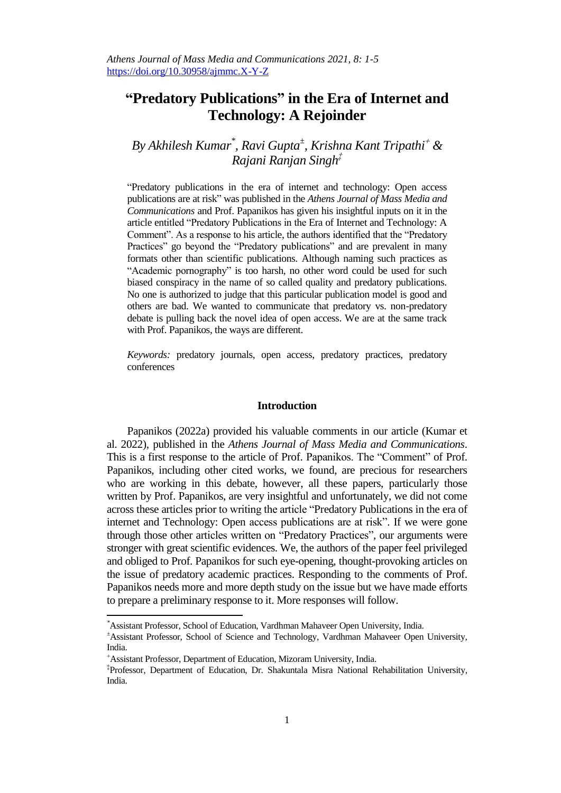## **"Predatory Publications" in the Era of Internet and Technology: A Rejoinder**

*By Akhilesh Kumar\* , Ravi Gupta<sup>±</sup> , Krishna Kant Tripathi & Rajani Ranjan Singh‡*

"Predatory publications in the era of internet and technology: Open access publications are at risk" was published in the *Athens Journal of Mass Media and Communications* and Prof. Papanikos has given his insightful inputs on it in the article entitled "Predatory Publications in the Era of Internet and Technology: A Comment". As a response to his article, the authors identified that the "Predatory Practices" go beyond the "Predatory publications" and are prevalent in many formats other than scientific publications. Although naming such practices as "Academic pornography" is too harsh, no other word could be used for such biased conspiracy in the name of so called quality and predatory publications. No one is authorized to judge that this particular publication model is good and others are bad. We wanted to communicate that predatory vs. non-predatory debate is pulling back the novel idea of open access. We are at the same track with Prof. Papanikos, the ways are different.

*Keywords:* predatory journals, open access, predatory practices, predatory conferences

## **Introduction**

Papanikos (2022a) provided his valuable comments in our article (Kumar et al. 2022), published in the *Athens Journal of Mass Media and Communications*. This is a first response to the article of Prof. Papanikos. The "Comment" of Prof. Papanikos, including other cited works, we found, are precious for researchers who are working in this debate, however, all these papers, particularly those written by Prof. Papanikos, are very insightful and unfortunately, we did not come across these articles prior to writing the article "Predatory Publications in the era of internet and Technology: Open access publications are at risk". If we were gone through those other articles written on "Predatory Practices", our arguments were stronger with great scientific evidences. We, the authors of the paper feel privileged and obliged to Prof. Papanikos for such eye-opening, thought-provoking articles on the issue of predatory academic practices. Responding to the comments of Prof. Papanikos needs more and more depth study on the issue but we have made efforts to prepare a preliminary response to it. More responses will follow.

 $\overline{a}$ 

*<sup>\*</sup>*Assistant Professor, School of Education, Vardhman Mahaveer Open University, India. <sup>±</sup>Assistant Professor, School of Science and Technology, Vardhman Mahaveer Open University, India.

Assistant Professor, Department of Education, Mizoram University, India.

<sup>‡</sup> Professor, Department of Education, Dr. Shakuntala Misra National Rehabilitation University, India.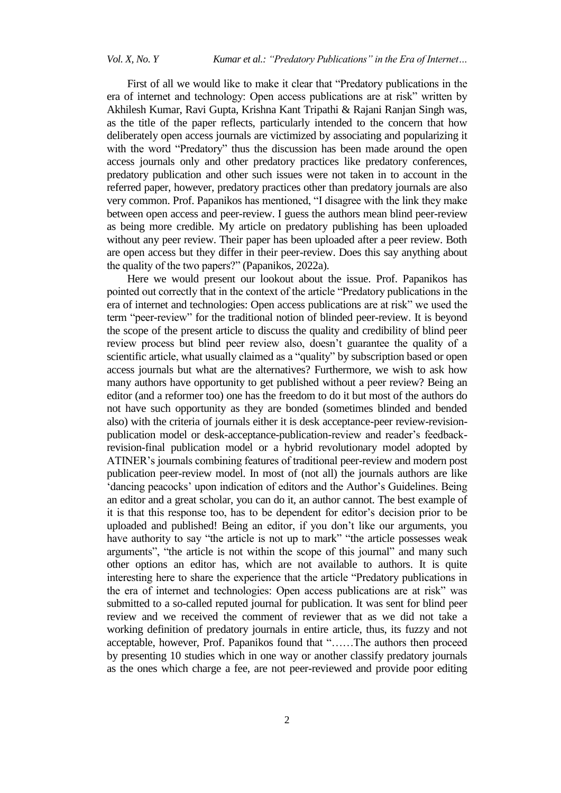First of all we would like to make it clear that "Predatory publications in the era of internet and technology: Open access publications are at risk" written by Akhilesh Kumar, Ravi Gupta, Krishna Kant Tripathi & Rajani Ranjan Singh was, as the title of the paper reflects, particularly intended to the concern that how deliberately open access journals are victimized by associating and popularizing it with the word "Predatory" thus the discussion has been made around the open access journals only and other predatory practices like predatory conferences, predatory publication and other such issues were not taken in to account in the referred paper, however, predatory practices other than predatory journals are also very common. Prof. Papanikos has mentioned, "I disagree with the link they make between open access and peer-review. I guess the authors mean blind peer-review as being more credible. My article on predatory publishing has been uploaded without any peer review. Their paper has been uploaded after a peer review. Both are open access but they differ in their peer-review. Does this say anything about the quality of the two papers?" (Papanikos, 2022a).

Here we would present our lookout about the issue. Prof. Papanikos has pointed out correctly that in the context of the article "Predatory publications in the era of internet and technologies: Open access publications are at risk" we used the term "peer-review" for the traditional notion of blinded peer-review. It is beyond the scope of the present article to discuss the quality and credibility of blind peer review process but blind peer review also, doesn"t guarantee the quality of a scientific article, what usually claimed as a "quality" by subscription based or open access journals but what are the alternatives? Furthermore, we wish to ask how many authors have opportunity to get published without a peer review? Being an editor (and a reformer too) one has the freedom to do it but most of the authors do not have such opportunity as they are bonded (sometimes blinded and bended also) with the criteria of journals either it is desk acceptance-peer review-revisionpublication model or desk-acceptance-publication-review and reader's feedbackrevision-final publication model or a hybrid revolutionary model adopted by ATINER"s journals combining features of traditional peer-review and modern post publication peer-review model. In most of (not all) the journals authors are like "dancing peacocks" upon indication of editors and the Author"s Guidelines. Being an editor and a great scholar, you can do it, an author cannot. The best example of it is that this response too, has to be dependent for editor"s decision prior to be uploaded and published! Being an editor, if you don"t like our arguments, you have authority to say "the article is not up to mark" "the article possesses weak arguments", "the article is not within the scope of this journal" and many such other options an editor has, which are not available to authors. It is quite interesting here to share the experience that the article "Predatory publications in the era of internet and technologies: Open access publications are at risk" was submitted to a so-called reputed journal for publication. It was sent for blind peer review and we received the comment of reviewer that as we did not take a working definition of predatory journals in entire article, thus, its fuzzy and not acceptable, however, Prof. Papanikos found that "……The authors then proceed by presenting 10 studies which in one way or another classify predatory journals as the ones which charge a fee, are not peer-reviewed and provide poor editing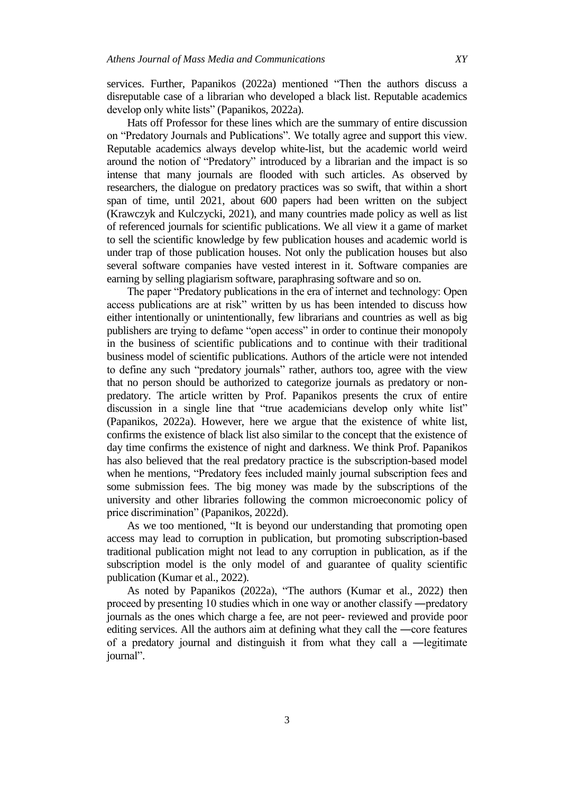services. Further, Papanikos (2022a) mentioned "Then the authors discuss a disreputable case of a librarian who developed a black list. Reputable academics develop only white lists" (Papanikos, 2022a)*.*

Hats off Professor for these lines which are the summary of entire discussion on "Predatory Journals and Publications". We totally agree and support this view. Reputable academics always develop white-list, but the academic world weird around the notion of "Predatory" introduced by a librarian and the impact is so intense that many journals are flooded with such articles. As observed by researchers, the dialogue on predatory practices was so swift, that within a short span of time, until 2021, about 600 papers had been written on the subject (Krawczyk and Kulczycki, 2021), and many countries made policy as well as list of referenced journals for scientific publications. We all view it a game of market to sell the scientific knowledge by few publication houses and academic world is under trap of those publication houses. Not only the publication houses but also several software companies have vested interest in it. Software companies are earning by selling plagiarism software, paraphrasing software and so on.

The paper "Predatory publications in the era of internet and technology: Open access publications are at risk" written by us has been intended to discuss how either intentionally or unintentionally, few librarians and countries as well as big publishers are trying to defame "open access" in order to continue their monopoly in the business of scientific publications and to continue with their traditional business model of scientific publications. Authors of the article were not intended to define any such "predatory journals" rather, authors too, agree with the view that no person should be authorized to categorize journals as predatory or nonpredatory. The article written by Prof. Papanikos presents the crux of entire discussion in a single line that "true academicians develop only white list" (Papanikos, 2022a). However, here we argue that the existence of white list, confirms the existence of black list also similar to the concept that the existence of day time confirms the existence of night and darkness. We think Prof. Papanikos has also believed that the real predatory practice is the subscription-based model when he mentions, "Predatory fees included mainly journal subscription fees and some submission fees. The big money was made by the subscriptions of the university and other libraries following the common microeconomic policy of price discrimination" (Papanikos, 2022d).

As we too mentioned, "It is beyond our understanding that promoting open access may lead to corruption in publication, but promoting subscription-based traditional publication might not lead to any corruption in publication, as if the subscription model is the only model of and guarantee of quality scientific publication (Kumar et al., 2022).

As noted by Papanikos (2022a), "The authors (Kumar et al., 2022) then proceed by presenting 10 studies which in one way or another classify ―predatory journals as the ones which charge a fee, are not peer- reviewed and provide poor editing services. All the authors aim at defining what they call the ―core features of a predatory journal and distinguish it from what they call a ―legitimate journal".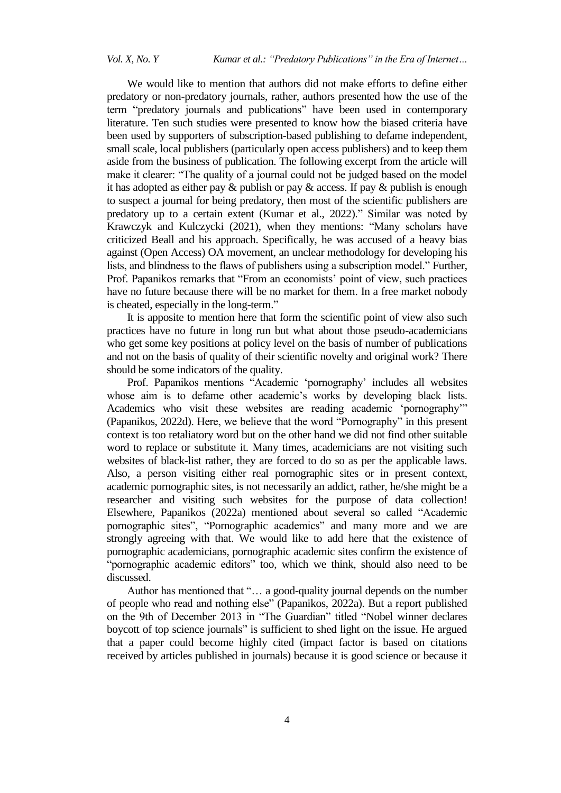We would like to mention that authors did not make efforts to define either predatory or non-predatory journals, rather, authors presented how the use of the term "predatory journals and publications" have been used in contemporary literature. Ten such studies were presented to know how the biased criteria have been used by supporters of subscription-based publishing to defame independent, small scale, local publishers (particularly open access publishers) and to keep them aside from the business of publication. The following excerpt from the article will make it clearer: "The quality of a journal could not be judged based on the model it has adopted as either pay  $\&$  publish or pay  $\&$  access. If pay  $\&$  publish is enough to suspect a journal for being predatory, then most of the scientific publishers are predatory up to a certain extent (Kumar et al., 2022)." Similar was noted by Krawczyk and Kulczycki (2021), when they mentions: "Many scholars have criticized Beall and his approach. Specifically, he was accused of a heavy bias against (Open Access) OA movement, an unclear methodology for developing his lists, and blindness to the flaws of publishers using a subscription model." Further, Prof. Papanikos remarks that "From an economists' point of view, such practices have no future because there will be no market for them. In a free market nobody is cheated, especially in the long-term."

It is apposite to mention here that form the scientific point of view also such practices have no future in long run but what about those pseudo-academicians who get some key positions at policy level on the basis of number of publications and not on the basis of quality of their scientific novelty and original work? There should be some indicators of the quality.

Prof. Papanikos mentions "Academic "pornography" includes all websites whose aim is to defame other academic's works by developing black lists. Academics who visit these websites are reading academic "pornography"" (Papanikos, 2022d). Here, we believe that the word "Pornography" in this present context is too retaliatory word but on the other hand we did not find other suitable word to replace or substitute it. Many times, academicians are not visiting such websites of black-list rather, they are forced to do so as per the applicable laws. Also, a person visiting either real pornographic sites or in present context, academic pornographic sites, is not necessarily an addict, rather, he/she might be a researcher and visiting such websites for the purpose of data collection! Elsewhere, Papanikos (2022a) mentioned about several so called "Academic pornographic sites", "Pornographic academics" and many more and we are strongly agreeing with that. We would like to add here that the existence of pornographic academicians, pornographic academic sites confirm the existence of "pornographic academic editors" too, which we think, should also need to be discussed.

Author has mentioned that "… a good-quality journal depends on the number of people who read and nothing else" (Papanikos, 2022a). But a report published on the 9th of December 2013 in "The Guardian" titled "Nobel winner declares boycott of top science journals" is sufficient to shed light on the issue. He argued that a paper could become highly cited (impact factor is based on citations received by articles published in journals) because it is good science or because it